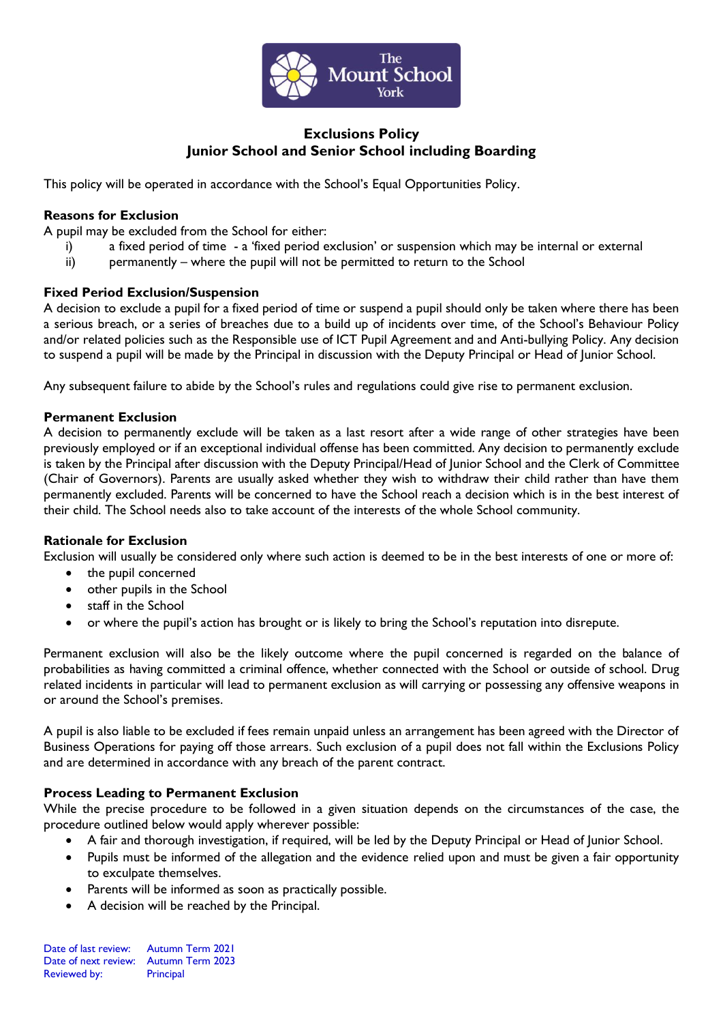

# **Exclusions Policy Junior School and Senior School including Boarding**

This policy will be operated in accordance with the School's Equal Opportunities Policy.

## **Reasons for Exclusion**

A pupil may be excluded from the School for either:

- i) a fixed period of time a 'fixed period exclusion' or suspension which may be internal or external
- ii) permanently where the pupil will not be permitted to return to the School

## **Fixed Period Exclusion/Suspension**

A decision to exclude a pupil for a fixed period of time or suspend a pupil should only be taken where there has been a serious breach, or a series of breaches due to a build up of incidents over time, of the School's Behaviour Policy and/or related policies such as the Responsible use of ICT Pupil Agreement and and Anti-bullying Policy. Any decision to suspend a pupil will be made by the Principal in discussion with the Deputy Principal or Head of Junior School.

Any subsequent failure to abide by the School's rules and regulations could give rise to permanent exclusion.

#### **Permanent Exclusion**

A decision to permanently exclude will be taken as a last resort after a wide range of other strategies have been previously employed or if an exceptional individual offense has been committed. Any decision to permanently exclude is taken by the Principal after discussion with the Deputy Principal/Head of Junior School and the Clerk of Committee (Chair of Governors). Parents are usually asked whether they wish to withdraw their child rather than have them permanently excluded. Parents will be concerned to have the School reach a decision which is in the best interest of their child. The School needs also to take account of the interests of the whole School community.

#### **Rationale for Exclusion**

Exclusion will usually be considered only where such action is deemed to be in the best interests of one or more of:

- the pupil concerned
- other pupils in the School
- staff in the School
- or where the pupil's action has brought or is likely to bring the School's reputation into disrepute.

Permanent exclusion will also be the likely outcome where the pupil concerned is regarded on the balance of probabilities as having committed a criminal offence, whether connected with the School or outside of school. Drug related incidents in particular will lead to permanent exclusion as will carrying or possessing any offensive weapons in or around the School's premises.

A pupil is also liable to be excluded if fees remain unpaid unless an arrangement has been agreed with the Director of Business Operations for paying off those arrears. Such exclusion of a pupil does not fall within the Exclusions Policy and are determined in accordance with any breach of the parent contract.

#### **Process Leading to Permanent Exclusion**

While the precise procedure to be followed in a given situation depends on the circumstances of the case, the procedure outlined below would apply wherever possible:

- A fair and thorough investigation, if required, will be led by the Deputy Principal or Head of Junior School.
- Pupils must be informed of the allegation and the evidence relied upon and must be given a fair opportunity to exculpate themselves.
- Parents will be informed as soon as practically possible.
- A decision will be reached by the Principal.

Date of last review: Autumn Term 2021 Date of next review: Autumn Term 2023 Reviewed by: Principal